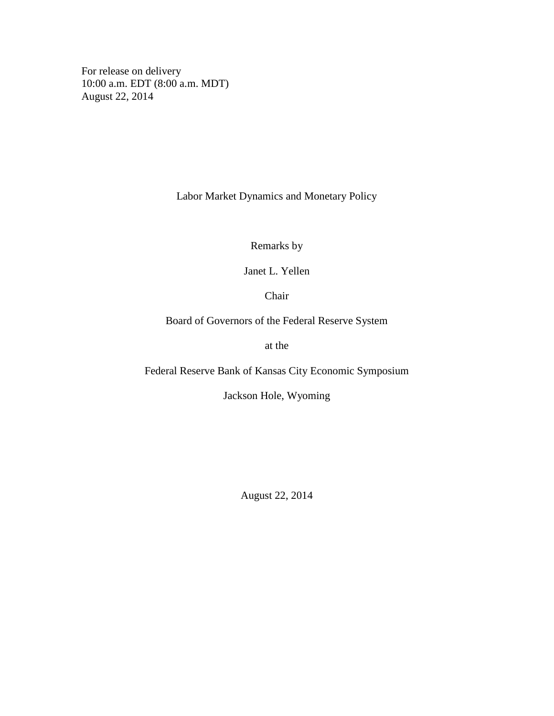For release on delivery 10:00 a.m. EDT (8:00 a.m. MDT) August 22, 2014

Labor Market Dynamics and Monetary Policy

Remarks by

Janet L. Yellen

Chair

Board of Governors of the Federal Reserve System

at the

Federal Reserve Bank of Kansas City Economic Symposium

Jackson Hole, Wyoming

August 22, 2014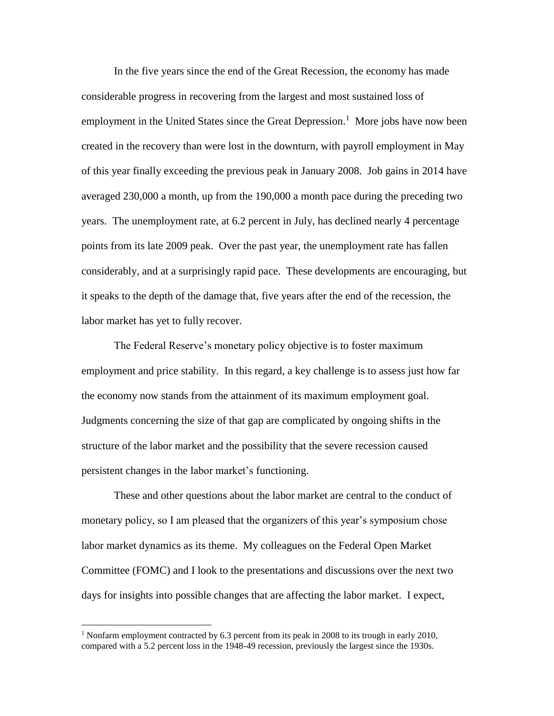In the five years since the end of the Great Recession, the economy has made considerable progress in recovering from the largest and most sustained loss of employment in the United States since the Great Depression.<sup>1</sup> More jobs have now been created in the recovery than were lost in the downturn, with payroll employment in May of this year finally exceeding the previous peak in January 2008. Job gains in 2014 have averaged 230,000 a month, up from the 190,000 a month pace during the preceding two years. The unemployment rate, at 6.2 percent in July, has declined nearly 4 percentage points from its late 2009 peak. Over the past year, the unemployment rate has fallen considerably, and at a surprisingly rapid pace. These developments are encouraging, but it speaks to the depth of the damage that, five years after the end of the recession, the labor market has yet to fully recover.

The Federal Reserve's monetary policy objective is to foster maximum employment and price stability. In this regard, a key challenge is to assess just how far the economy now stands from the attainment of its maximum employment goal. Judgments concerning the size of that gap are complicated by ongoing shifts in the structure of the labor market and the possibility that the severe recession caused persistent changes in the labor market's functioning.

These and other questions about the labor market are central to the conduct of monetary policy, so I am pleased that the organizers of this year's symposium chose labor market dynamics as its theme. My colleagues on the Federal Open Market Committee (FOMC) and I look to the presentations and discussions over the next two days for insights into possible changes that are affecting the labor market. I expect,

<sup>&</sup>lt;sup>1</sup> Nonfarm employment contracted by 6.3 percent from its peak in 2008 to its trough in early 2010, compared with a 5.2 percent loss in the 1948-49 recession, previously the largest since the 1930s.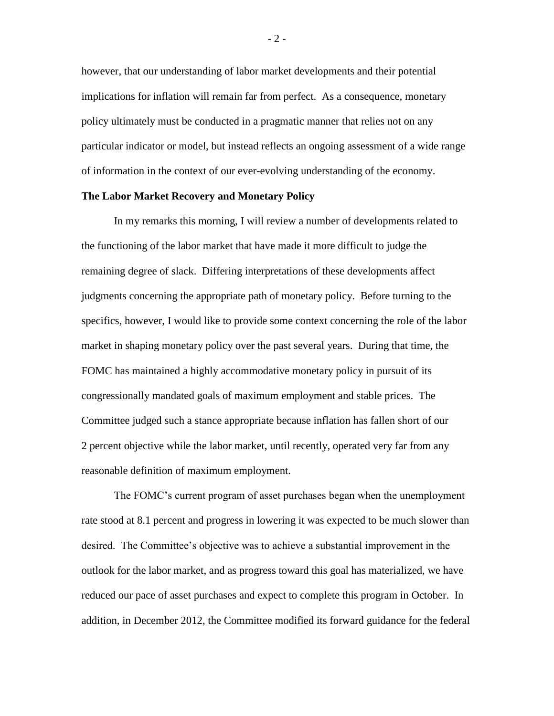however, that our understanding of labor market developments and their potential implications for inflation will remain far from perfect. As a consequence, monetary policy ultimately must be conducted in a pragmatic manner that relies not on any particular indicator or model, but instead reflects an ongoing assessment of a wide range of information in the context of our ever-evolving understanding of the economy.

## **The Labor Market Recovery and Monetary Policy**

In my remarks this morning, I will review a number of developments related to the functioning of the labor market that have made it more difficult to judge the remaining degree of slack. Differing interpretations of these developments affect judgments concerning the appropriate path of monetary policy. Before turning to the specifics, however, I would like to provide some context concerning the role of the labor market in shaping monetary policy over the past several years. During that time, the FOMC has maintained a highly accommodative monetary policy in pursuit of its congressionally mandated goals of maximum employment and stable prices. The Committee judged such a stance appropriate because inflation has fallen short of our 2 percent objective while the labor market, until recently, operated very far from any reasonable definition of maximum employment.

The FOMC's current program of asset purchases began when the unemployment rate stood at 8.1 percent and progress in lowering it was expected to be much slower than desired. The Committee's objective was to achieve a substantial improvement in the outlook for the labor market, and as progress toward this goal has materialized, we have reduced our pace of asset purchases and expect to complete this program in October. In addition, in December 2012, the Committee modified its forward guidance for the federal

 $-2 -$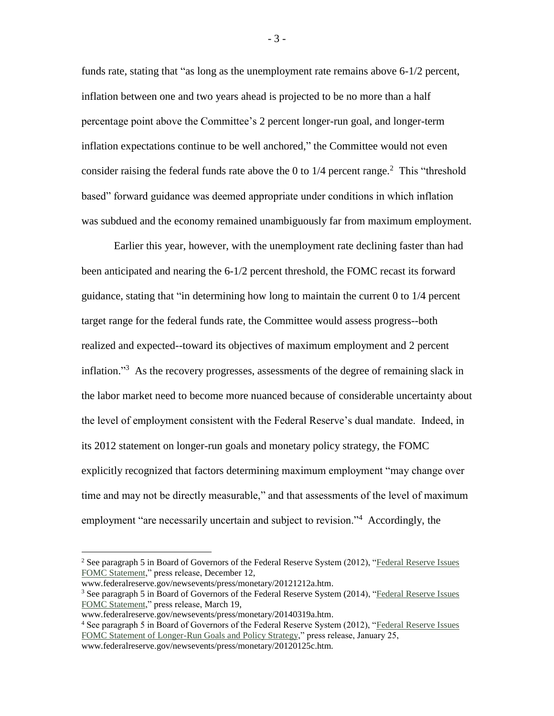funds rate, stating that "as long as the unemployment rate remains above 6-1/2 percent, inflation between one and two years ahead is projected to be no more than a half percentage point above the Committee's 2 percent longer-run goal, and longer-term inflation expectations continue to be well anchored," the Committee would not even consider raising the federal funds rate above the 0 to  $1/4$  percent range.<sup>2</sup> This "threshold based" forward guidance was deemed appropriate under conditions in which inflation was subdued and the economy remained unambiguously far from maximum employment.

Earlier this year, however, with the unemployment rate declining faster than had been anticipated and nearing the 6-1/2 percent threshold, the FOMC recast its forward guidance, stating that "in determining how long to maintain the current 0 to 1/4 percent target range for the federal funds rate, the Committee would assess progress--both realized and expected--toward its objectives of maximum employment and 2 percent inflation."<sup>3</sup> As the recovery progresses, assessments of the degree of remaining slack in the labor market need to become more nuanced because of considerable uncertainty about the level of employment consistent with the Federal Reserve's dual mandate. Indeed, in its 2012 statement on longer-run goals and monetary policy strategy, the FOMC explicitly recognized that factors determining maximum employment "may change over time and may not be directly measurable," and that assessments of the level of maximum employment "are necessarily uncertain and subject to revision."<sup>4</sup> Accordingly, the

<sup>&</sup>lt;sup>2</sup> See paragraph 5 in Board of Governors of the Federal Reserve System (2012), "Federal Reserve Issues FOMC Statement," press release, December 12,

www.federalreserve.gov/newsevents/press/monetary/20121212a.htm.

<sup>&</sup>lt;sup>3</sup> See paragraph 5 in Board of Governors of the Federal Reserve System (2014), "Federal Reserve Issues FOMC Statement," press release, March 19,

www.federalreserve.gov/newsevents/press/monetary/20140319a.htm.

<sup>4</sup> See paragraph 5 in Board of Governors of the Federal Reserve System (2012), "Federal Reserve Issues FOMC Statement of Longer-Run Goals and Policy Strategy," press release, January 25,

www.federalreserve.gov/newsevents/press/monetary/20120125c.htm.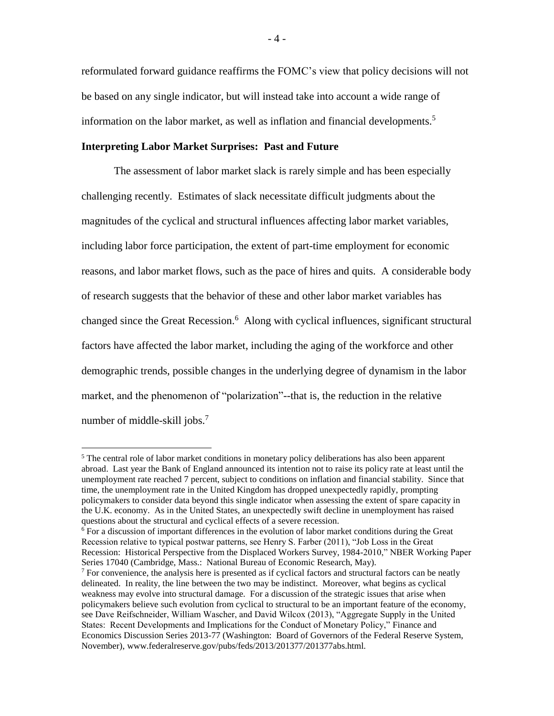reformulated forward guidance reaffirms the FOMC's view that policy decisions will not be based on any single indicator, but will instead take into account a wide range of information on the labor market, as well as inflation and financial developments.<sup>5</sup>

## **Interpreting Labor Market Surprises: Past and Future**

 $\overline{a}$ 

The assessment of labor market slack is rarely simple and has been especially challenging recently. Estimates of slack necessitate difficult judgments about the magnitudes of the cyclical and structural influences affecting labor market variables, including labor force participation, the extent of part-time employment for economic reasons, and labor market flows, such as the pace of hires and quits. A considerable body of research suggests that the behavior of these and other labor market variables has changed since the Great Recession.<sup>6</sup> Along with cyclical influences, significant structural factors have affected the labor market, including the aging of the workforce and other demographic trends, possible changes in the underlying degree of dynamism in the labor market, and the phenomenon of "polarization"--that is, the reduction in the relative number of middle-skill jobs. $<sup>7</sup>$ </sup>

<sup>&</sup>lt;sup>5</sup> The central role of labor market conditions in monetary policy deliberations has also been apparent abroad. Last year the Bank of England announced its intention not to raise its policy rate at least until the unemployment rate reached 7 percent, subject to conditions on inflation and financial stability. Since that time, the unemployment rate in the United Kingdom has dropped unexpectedly rapidly, prompting policymakers to consider data beyond this single indicator when assessing the extent of spare capacity in the U.K. economy. As in the United States, an unexpectedly swift decline in unemployment has raised questions about the structural and cyclical effects of a severe recession.

 $6$  For a discussion of important differences in the evolution of labor market conditions during the Great Recession relative to typical postwar patterns, see Henry S. Farber (2011), "Job Loss in the Great Recession: Historical Perspective from the Displaced Workers Survey, 1984-2010," NBER Working Paper Series 17040 (Cambridge, Mass.: National Bureau of Economic Research, May).

 $<sup>7</sup>$  For convenience, the analysis here is presented as if cyclical factors and structural factors can be neatly</sup> delineated. In reality, the line between the two may be indistinct. Moreover, what begins as cyclical weakness may evolve into structural damage. For a discussion of the strategic issues that arise when policymakers believe such evolution from cyclical to structural to be an important feature of the economy, see Dave Reifschneider, William Wascher, and David Wilcox (2013), "Aggregate Supply in the United States: Recent Developments and Implications for the Conduct of Monetary Policy," Finance and Economics Discussion Series 2013-77 (Washington: Board of Governors of the Federal Reserve System, November), www.federalreserve.gov/pubs/feds/2013/201377/201377abs.html.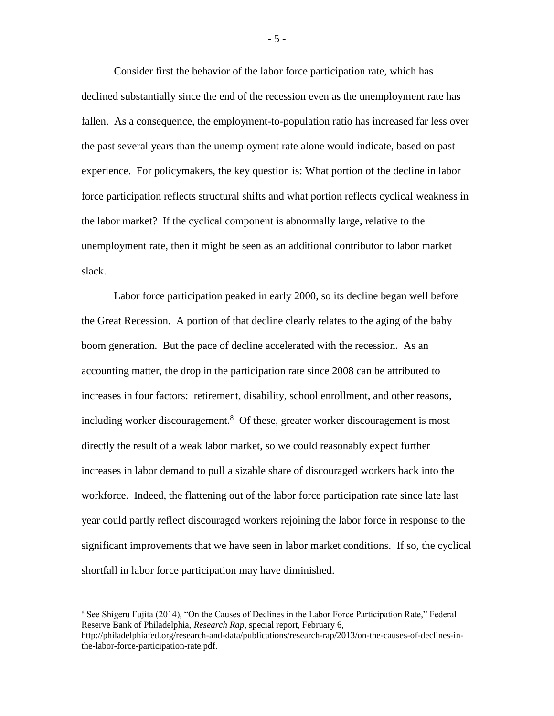Consider first the behavior of the labor force participation rate, which has declined substantially since the end of the recession even as the unemployment rate has fallen. As a consequence, the employment-to-population ratio has increased far less over the past several years than the unemployment rate alone would indicate, based on past experience. For policymakers, the key question is: What portion of the decline in labor force participation reflects structural shifts and what portion reflects cyclical weakness in the labor market? If the cyclical component is abnormally large, relative to the unemployment rate, then it might be seen as an additional contributor to labor market slack.

Labor force participation peaked in early 2000, so its decline began well before the Great Recession. A portion of that decline clearly relates to the aging of the baby boom generation. But the pace of decline accelerated with the recession. As an accounting matter, the drop in the participation rate since 2008 can be attributed to increases in four factors: retirement, disability, school enrollment, and other reasons, including worker discouragement.<sup>8</sup> Of these, greater worker discouragement is most directly the result of a weak labor market, so we could reasonably expect further increases in labor demand to pull a sizable share of discouraged workers back into the workforce. Indeed, the flattening out of the labor force participation rate since late last year could partly reflect discouraged workers rejoining the labor force in response to the significant improvements that we have seen in labor market conditions. If so, the cyclical shortfall in labor force participation may have diminished.

 $\overline{a}$ 

- 5 -

<sup>8</sup> See Shigeru Fujita (2014), "On the Causes of Declines in the Labor Force Participation Rate," Federal Reserve Bank of Philadelphia, *Research Rap*, special report, February 6,

http://philadelphiafed.org/research-and-data/publications/research-rap/2013/on-the-causes-of-declines-inthe-labor-force-participation-rate.pdf.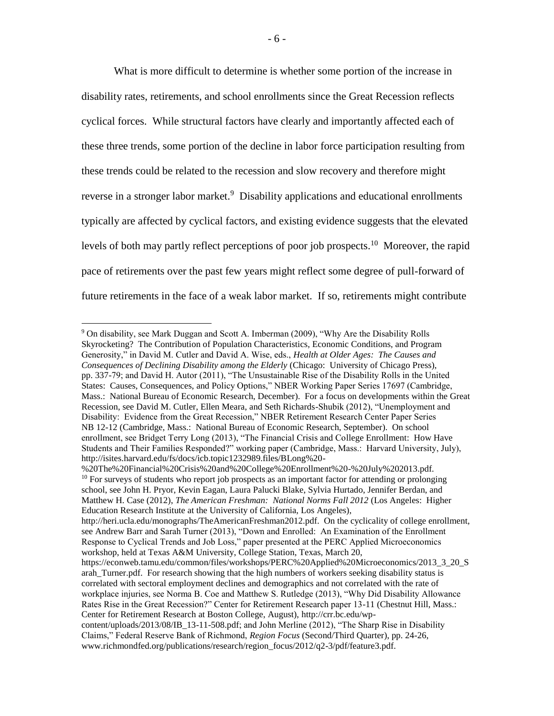What is more difficult to determine is whether some portion of the increase in disability rates, retirements, and school enrollments since the Great Recession reflects cyclical forces. While structural factors have clearly and importantly affected each of these three trends, some portion of the decline in labor force participation resulting from these trends could be related to the recession and slow recovery and therefore might reverse in a stronger labor market.<sup>9</sup> Disability applications and educational enrollments typically are affected by cyclical factors, and existing evidence suggests that the elevated levels of both may partly reflect perceptions of poor job prospects.<sup>10</sup> Moreover, the rapid pace of retirements over the past few years might reflect some degree of pull-forward of future retirements in the face of a weak labor market. If so, retirements might contribute

 $\overline{a}$ 

%20The%20Financial%20Crisis%20and%20College%20Enrollment%20-%20July%202013.pdf. <sup>10</sup> For surveys of students who report job prospects as an important factor for attending or prolonging school, see John H. Pryor, Kevin Eagan, Laura Palucki Blake, Sylvia Hurtado, Jennifer Berdan, and Matthew H. Case (2012), *The American Freshman: National Norms Fall 2012* (Los Angeles: Higher Education Research Institute at the University of California, Los Angeles),

<sup>9</sup> On disability, see Mark Duggan and Scott A. Imberman (2009), "Why Are the Disability Rolls Skyrocketing? The Contribution of Population Characteristics, Economic Conditions, and Program Generosity," in David M. Cutler and David A. Wise, eds., *Health at Older Ages: The Causes and Consequences of Declining Disability among the Elderly* (Chicago: University of Chicago Press), pp. 337-79; and David H. Autor (2011), "The Unsustainable Rise of the Disability Rolls in the United States: Causes, Consequences, and Policy Options," NBER Working Paper Series 17697 (Cambridge, Mass.: National Bureau of Economic Research, December). For a focus on developments within the Great Recession, see David M. Cutler, Ellen Meara, and Seth Richards-Shubik (2012), "Unemployment and Disability: Evidence from the Great Recession," NBER Retirement Research Center Paper Series NB 12-12 (Cambridge, Mass.: National Bureau of Economic Research, September). On school enrollment, see Bridget Terry Long (2013), "The Financial Crisis and College Enrollment: How Have Students and Their Families Responded?" working paper (Cambridge, Mass.: Harvard University, July), http://isites.harvard.edu/fs/docs/icb.topic1232989.files/BLong%20-

http://heri.ucla.edu/monographs/TheAmericanFreshman2012.pdf. On the cyclicality of college enrollment, see Andrew Barr and Sarah Turner (2013), "Down and Enrolled: An Examination of the Enrollment Response to Cyclical Trends and Job Loss," paper presented at the PERC Applied Microeconomics workshop, held at Texas A&M University, College Station, Texas, March 20,

https://econweb.tamu.edu/common/files/workshops/PERC%20Applied%20Microeconomics/2013\_3\_20\_S arah Turner.pdf. For research showing that the high numbers of workers seeking disability status is correlated with sectoral employment declines and demographics and not correlated with the rate of workplace injuries, see Norma B. Coe and Matthew S. Rutledge (2013), "Why Did Disability Allowance Rates Rise in the Great Recession?" Center for Retirement Research paper 13-11 (Chestnut Hill, Mass.: Center for Retirement Research at Boston College, August), http://crr.bc.edu/wpcontent/uploads/2013/08/IB\_13-11-508.pdf; and John Merline (2012), "The Sharp Rise in Disability

Claims," Federal Reserve Bank of Richmond, *Region Focus* (Second/Third Quarter), pp. 24-26, www.richmondfed.org/publications/research/region\_focus/2012/q2-3/pdf/feature3.pdf.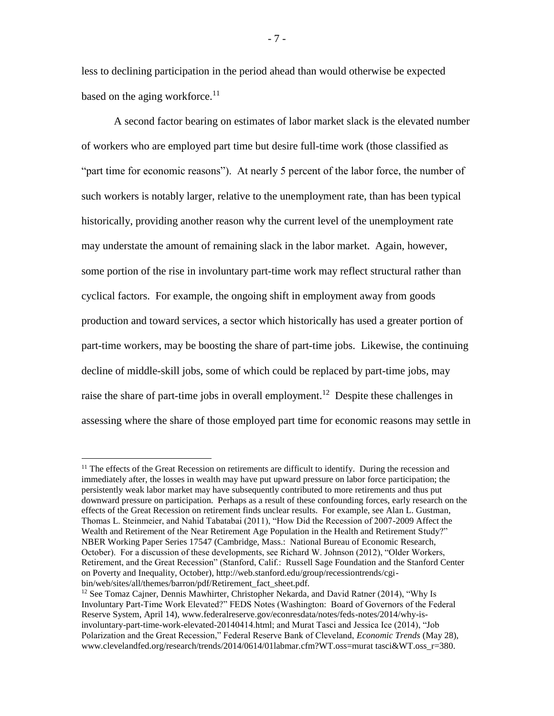less to declining participation in the period ahead than would otherwise be expected based on the aging workforce.<sup>11</sup>

A second factor bearing on estimates of labor market slack is the elevated number of workers who are employed part time but desire full-time work (those classified as "part time for economic reasons"). At nearly 5 percent of the labor force, the number of such workers is notably larger, relative to the unemployment rate, than has been typical historically, providing another reason why the current level of the unemployment rate may understate the amount of remaining slack in the labor market. Again, however, some portion of the rise in involuntary part-time work may reflect structural rather than cyclical factors. For example, the ongoing shift in employment away from goods production and toward services, a sector which historically has used a greater portion of part-time workers, may be boosting the share of part-time jobs. Likewise, the continuing decline of middle-skill jobs, some of which could be replaced by part-time jobs, may raise the share of part-time jobs in overall employment.<sup>12</sup> Despite these challenges in assessing where the share of those employed part time for economic reasons may settle in

 $\overline{a}$ 

- 7 -

 $<sup>11</sup>$  The effects of the Great Recession on retirements are difficult to identify. During the recession and</sup> immediately after, the losses in wealth may have put upward pressure on labor force participation; the persistently weak labor market may have subsequently contributed to more retirements and thus put downward pressure on participation. Perhaps as a result of these confounding forces, early research on the effects of the Great Recession on retirement finds unclear results. For example, see Alan L. Gustman, Thomas L. Steinmeier, and Nahid Tabatabai (2011), "How Did the Recession of 2007-2009 Affect the Wealth and Retirement of the Near Retirement Age Population in the Health and Retirement Study?" NBER Working Paper Series 17547 (Cambridge, Mass.: National Bureau of Economic Research, October). For a discussion of these developments, see Richard W. Johnson (2012), "Older Workers, Retirement, and the Great Recession" (Stanford, Calif.: Russell Sage Foundation and the Stanford Center on Poverty and Inequality, October), http://web.stanford.edu/group/recessiontrends/cgibin/web/sites/all/themes/barron/pdf/Retirement\_fact\_sheet.pdf.

<sup>&</sup>lt;sup>12</sup> See Tomaz Cajner, Dennis Mawhirter, Christopher Nekarda, and David Ratner (2014), "Why Is Involuntary Part-Time Work Elevated?" FEDS Notes (Washington: Board of Governors of the Federal Reserve System, April 14), www.federalreserve.gov/econresdata/notes/feds-notes/2014/why-isinvoluntary-part-time-work-elevated-20140414.html; and Murat Tasci and Jessica Ice (2014), "Job Polarization and the Great Recession," Federal Reserve Bank of Cleveland, *Economic Trends* (May 28), www.clevelandfed.org/research/trends/2014/0614/01labmar.cfm?WT.oss=murat tasci&WT.oss\_r=380.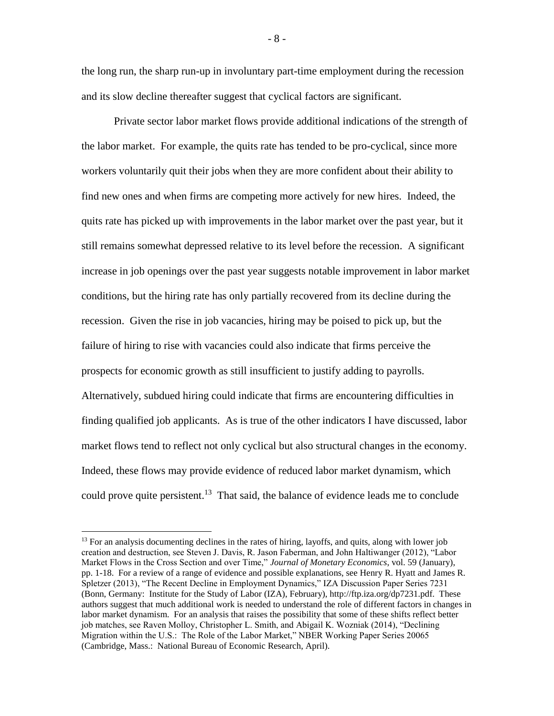the long run, the sharp run-up in involuntary part-time employment during the recession and its slow decline thereafter suggest that cyclical factors are significant.

Private sector labor market flows provide additional indications of the strength of the labor market. For example, the quits rate has tended to be pro-cyclical, since more workers voluntarily quit their jobs when they are more confident about their ability to find new ones and when firms are competing more actively for new hires. Indeed, the quits rate has picked up with improvements in the labor market over the past year, but it still remains somewhat depressed relative to its level before the recession. A significant increase in job openings over the past year suggests notable improvement in labor market conditions, but the hiring rate has only partially recovered from its decline during the recession. Given the rise in job vacancies, hiring may be poised to pick up, but the failure of hiring to rise with vacancies could also indicate that firms perceive the prospects for economic growth as still insufficient to justify adding to payrolls. Alternatively, subdued hiring could indicate that firms are encountering difficulties in finding qualified job applicants. As is true of the other indicators I have discussed, labor market flows tend to reflect not only cyclical but also structural changes in the economy. Indeed, these flows may provide evidence of reduced labor market dynamism, which could prove quite persistent.<sup>13</sup> That said, the balance of evidence leads me to conclude

 $<sup>13</sup>$  For an analysis documenting declines in the rates of hiring, layoffs, and quits, along with lower job</sup> creation and destruction, see Steven J. Davis, R. Jason Faberman, and John Haltiwanger (2012), "Labor Market Flows in the Cross Section and over Time," *Journal of Monetary Economics*, vol. 59 (January), pp. 1-18. For a review of a range of evidence and possible explanations, see Henry R. Hyatt and James R. Spletzer (2013), "The Recent Decline in Employment Dynamics," IZA Discussion Paper Series 7231 (Bonn, Germany: Institute for the Study of Labor (IZA), February), http://ftp.iza.org/dp7231.pdf. These authors suggest that much additional work is needed to understand the role of different factors in changes in labor market dynamism. For an analysis that raises the possibility that some of these shifts reflect better job matches, see Raven Molloy, Christopher L. Smith, and Abigail K. Wozniak (2014), "Declining Migration within the U.S.: The Role of the Labor Market," NBER Working Paper Series 20065 (Cambridge, Mass.: National Bureau of Economic Research, April).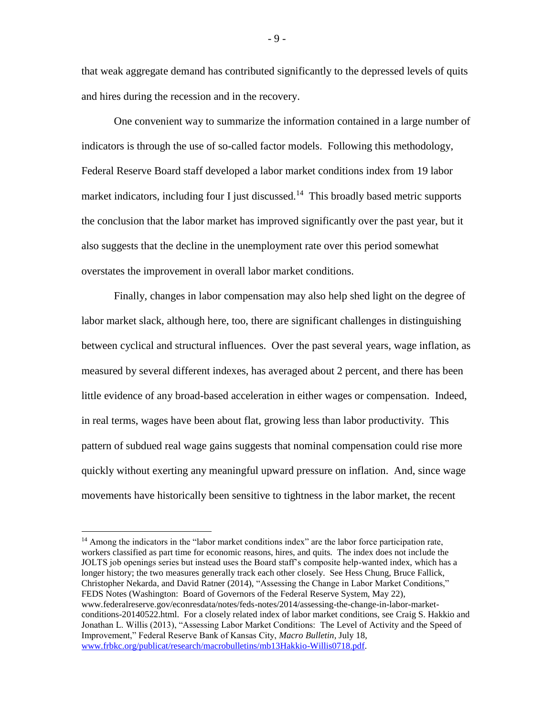that weak aggregate demand has contributed significantly to the depressed levels of quits and hires during the recession and in the recovery.

One convenient way to summarize the information contained in a large number of indicators is through the use of so-called factor models. Following this methodology, Federal Reserve Board staff developed a labor market conditions index from 19 labor market indicators, including four I just discussed.<sup>14</sup> This broadly based metric supports the conclusion that the labor market has improved significantly over the past year, but it also suggests that the decline in the unemployment rate over this period somewhat overstates the improvement in overall labor market conditions.

Finally, changes in labor compensation may also help shed light on the degree of labor market slack, although here, too, there are significant challenges in distinguishing between cyclical and structural influences. Over the past several years, wage inflation, as measured by several different indexes, has averaged about 2 percent, and there has been little evidence of any broad-based acceleration in either wages or compensation. Indeed, in real terms, wages have been about flat, growing less than labor productivity. This pattern of subdued real wage gains suggests that nominal compensation could rise more quickly without exerting any meaningful upward pressure on inflation. And, since wage movements have historically been sensitive to tightness in the labor market, the recent

<sup>&</sup>lt;sup>14</sup> Among the indicators in the "labor market conditions index" are the labor force participation rate, workers classified as part time for economic reasons, hires, and quits. The index does not include the JOLTS job openings series but instead uses the Board staff's composite help-wanted index, which has a longer history; the two measures generally track each other closely. See Hess Chung, Bruce Fallick, Christopher Nekarda, and David Ratner (2014), "Assessing the Change in Labor Market Conditions," FEDS Notes (Washington: Board of Governors of the Federal Reserve System, May 22), www.federalreserve.gov/econresdata/notes/feds-notes/2014/assessing-the-change-in-labor-marketconditions-20140522.html. For a closely related index of labor market conditions, see Craig S. Hakkio and Jonathan L. Willis (2013), "Assessing Labor Market Conditions: The Level of Activity and the Speed of Improvement," Federal Reserve Bank of Kansas City, *Macro Bulletin,* July 18, [www.frbkc.org/publicat/research/macrobulletins/mb13Hakkio-Willis0718.pdf.](http://www.frbkc.org/publicat/research/macrobulletins/mb13Hakkio-Willis0718.pdf)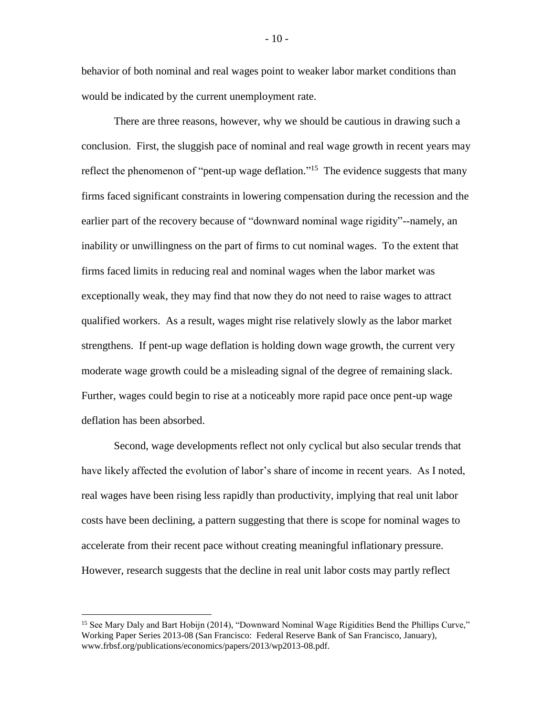behavior of both nominal and real wages point to weaker labor market conditions than would be indicated by the current unemployment rate.

There are three reasons, however, why we should be cautious in drawing such a conclusion. First, the sluggish pace of nominal and real wage growth in recent years may reflect the phenomenon of "pent-up wage deflation."<sup>15</sup> The evidence suggests that many firms faced significant constraints in lowering compensation during the recession and the earlier part of the recovery because of "downward nominal wage rigidity"--namely, an inability or unwillingness on the part of firms to cut nominal wages. To the extent that firms faced limits in reducing real and nominal wages when the labor market was exceptionally weak, they may find that now they do not need to raise wages to attract qualified workers. As a result, wages might rise relatively slowly as the labor market strengthens. If pent-up wage deflation is holding down wage growth, the current very moderate wage growth could be a misleading signal of the degree of remaining slack. Further, wages could begin to rise at a noticeably more rapid pace once pent-up wage deflation has been absorbed.

Second, wage developments reflect not only cyclical but also secular trends that have likely affected the evolution of labor's share of income in recent years. As I noted, real wages have been rising less rapidly than productivity, implying that real unit labor costs have been declining, a pattern suggesting that there is scope for nominal wages to accelerate from their recent pace without creating meaningful inflationary pressure. However, research suggests that the decline in real unit labor costs may partly reflect

<sup>&</sup>lt;sup>15</sup> See Mary Daly and Bart Hobijn (2014), "Downward Nominal Wage Rigidities Bend the Phillips Curve," Working Paper Series 2013-08 (San Francisco: Federal Reserve Bank of San Francisco, January), www.frbsf.org/publications/economics/papers/2013/wp2013-08.pdf.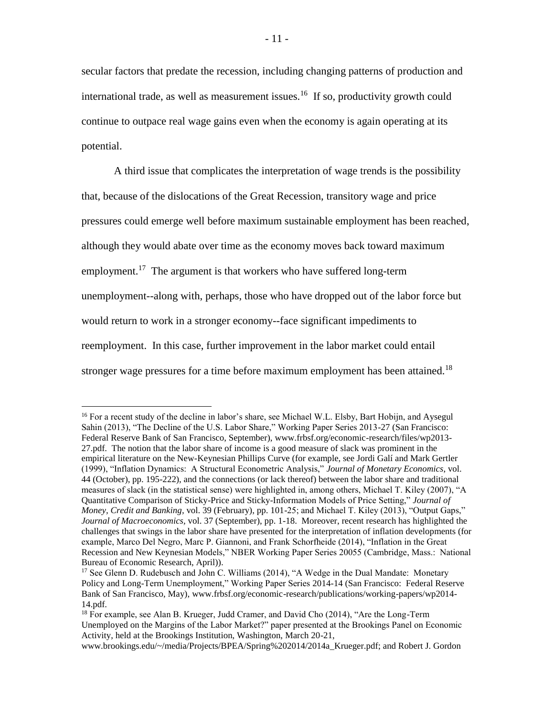secular factors that predate the recession, including changing patterns of production and international trade, as well as measurement issues.<sup>16</sup> If so, productivity growth could continue to outpace real wage gains even when the economy is again operating at its potential.

A third issue that complicates the interpretation of wage trends is the possibility that, because of the dislocations of the Great Recession, transitory wage and price pressures could emerge well before maximum sustainable employment has been reached, although they would abate over time as the economy moves back toward maximum employment.<sup>17</sup> The argument is that workers who have suffered long-term unemployment--along with, perhaps, those who have dropped out of the labor force but would return to work in a stronger economy--face significant impediments to reemployment. In this case, further improvement in the labor market could entail stronger wage pressures for a time before maximum employment has been attained.<sup>18</sup>

<sup>&</sup>lt;sup>16</sup> For a recent study of the decline in labor's share, see Michael W.L. Elsby, Bart Hobijn, and Aysegul Sahin (2013), "The Decline of the U.S. Labor Share," Working Paper Series 2013-27 (San Francisco: Federal Reserve Bank of San Francisco, September), www.frbsf.org/economic-research/files/wp2013- 27.pdf. The notion that the labor share of income is a good measure of slack was prominent in the empirical literature on the New-Keynesian Phillips Curve (for example, see Jordi Galí and Mark Gertler (1999), "Inflation Dynamics: A Structural Econometric Analysis," *Journal of Monetary Economics*, vol. 44 (October), pp. 195-222), and the connections (or lack thereof) between the labor share and traditional measures of slack (in the statistical sense) were highlighted in, among others, Michael T. Kiley (2007), "A Quantitative Comparison of Sticky-Price and Sticky-Information Models of Price Setting," *Journal of Money, Credit and Banking,* vol. 39 (February), pp. 101-25; and Michael T. Kiley (2013), "Output Gaps," *Journal of Macroeconomics,* vol. 37 (September), pp. 1-18. Moreover, recent research has highlighted the challenges that swings in the labor share have presented for the interpretation of inflation developments (for example, Marco Del Negro, Marc P. Giannoni, and Frank Schorfheide (2014), "Inflation in the Great Recession and New Keynesian Models," NBER Working Paper Series 20055 (Cambridge, Mass.: National Bureau of Economic Research, April)).

<sup>&</sup>lt;sup>17</sup> See Glenn D. Rudebusch and John C. Williams (2014), "A Wedge in the Dual Mandate: Monetary Policy and Long-Term Unemployment," Working Paper Series 2014-14 (San Francisco: Federal Reserve Bank of San Francisco, May), www.frbsf.org/economic-research/publications/working-papers/wp2014- 14.pdf.

<sup>&</sup>lt;sup>18</sup> For example, see Alan B. Krueger, Judd Cramer, and David Cho (2014), "Are the Long-Term Unemployed on the Margins of the Labor Market?" paper presented at the Brookings Panel on Economic Activity, held at the Brookings Institution, Washington, March 20-21,

www.brookings.edu/~/media/Projects/BPEA/Spring%202014/2014a\_Krueger.pdf; and Robert J. Gordon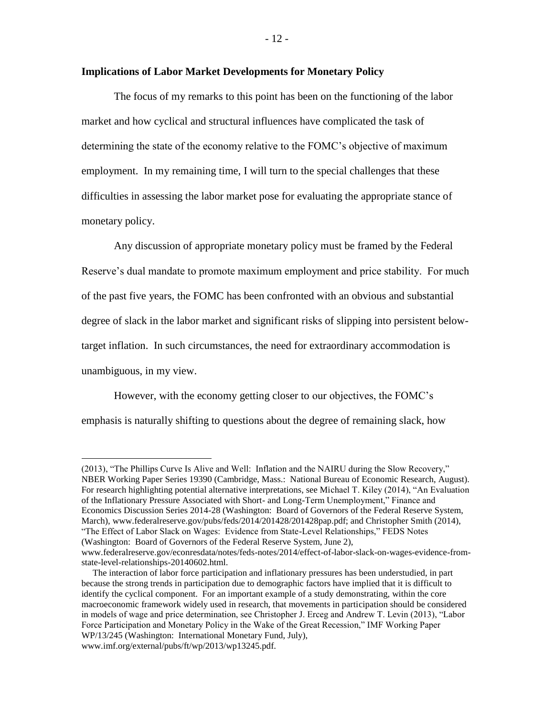## **Implications of Labor Market Developments for Monetary Policy**

The focus of my remarks to this point has been on the functioning of the labor market and how cyclical and structural influences have complicated the task of determining the state of the economy relative to the FOMC's objective of maximum employment. In my remaining time, I will turn to the special challenges that these difficulties in assessing the labor market pose for evaluating the appropriate stance of monetary policy.

Any discussion of appropriate monetary policy must be framed by the Federal Reserve's dual mandate to promote maximum employment and price stability. For much of the past five years, the FOMC has been confronted with an obvious and substantial degree of slack in the labor market and significant risks of slipping into persistent belowtarget inflation. In such circumstances, the need for extraordinary accommodation is unambiguous, in my view.

However, with the economy getting closer to our objectives, the FOMC's emphasis is naturally shifting to questions about the degree of remaining slack, how

<sup>(2013), &</sup>quot;The Phillips Curve Is Alive and Well: Inflation and the NAIRU during the Slow Recovery," NBER Working Paper Series 19390 (Cambridge, Mass.: National Bureau of Economic Research, August). For research highlighting potential alternative interpretations, see Michael T. Kiley (2014), "An Evaluation of the Inflationary Pressure Associated with Short- and Long-Term Unemployment," Finance and Economics Discussion Series 2014-28 (Washington: Board of Governors of the Federal Reserve System, March), www.federalreserve.gov/pubs/feds/2014/201428/201428pap.pdf; and Christopher Smith (2014), "The Effect of Labor Slack on Wages: Evidence from State-Level Relationships," FEDS Notes (Washington: Board of Governors of the Federal Reserve System, June 2),

www.federalreserve.gov/econresdata/notes/feds-notes/2014/effect-of-labor-slack-on-wages-evidence-fromstate-level-relationships-20140602.html.

The interaction of labor force participation and inflationary pressures has been understudied, in part because the strong trends in participation due to demographic factors have implied that it is difficult to identify the cyclical component. For an important example of a study demonstrating, within the core macroeconomic framework widely used in research, that movements in participation should be considered in models of wage and price determination, see Christopher J. Erceg and Andrew T. Levin (2013), "Labor Force Participation and Monetary Policy in the Wake of the Great Recession," IMF Working Paper WP/13/245 (Washington: International Monetary Fund, July), www.imf.org/external/pubs/ft/wp/2013/wp13245.pdf.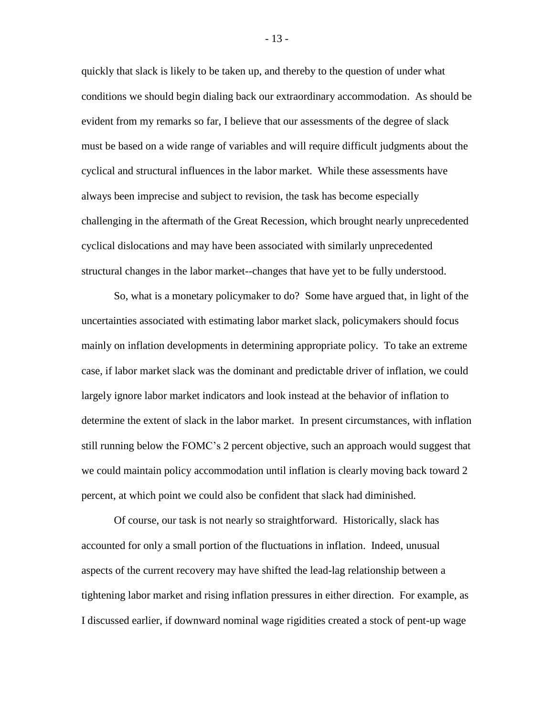quickly that slack is likely to be taken up, and thereby to the question of under what conditions we should begin dialing back our extraordinary accommodation. As should be evident from my remarks so far, I believe that our assessments of the degree of slack must be based on a wide range of variables and will require difficult judgments about the cyclical and structural influences in the labor market. While these assessments have always been imprecise and subject to revision, the task has become especially challenging in the aftermath of the Great Recession, which brought nearly unprecedented cyclical dislocations and may have been associated with similarly unprecedented structural changes in the labor market--changes that have yet to be fully understood.

So, what is a monetary policymaker to do? Some have argued that, in light of the uncertainties associated with estimating labor market slack, policymakers should focus mainly on inflation developments in determining appropriate policy. To take an extreme case, if labor market slack was the dominant and predictable driver of inflation, we could largely ignore labor market indicators and look instead at the behavior of inflation to determine the extent of slack in the labor market. In present circumstances, with inflation still running below the FOMC's 2 percent objective, such an approach would suggest that we could maintain policy accommodation until inflation is clearly moving back toward 2 percent, at which point we could also be confident that slack had diminished.

Of course, our task is not nearly so straightforward. Historically, slack has accounted for only a small portion of the fluctuations in inflation. Indeed, unusual aspects of the current recovery may have shifted the lead-lag relationship between a tightening labor market and rising inflation pressures in either direction. For example, as I discussed earlier, if downward nominal wage rigidities created a stock of pent-up wage

- 13 -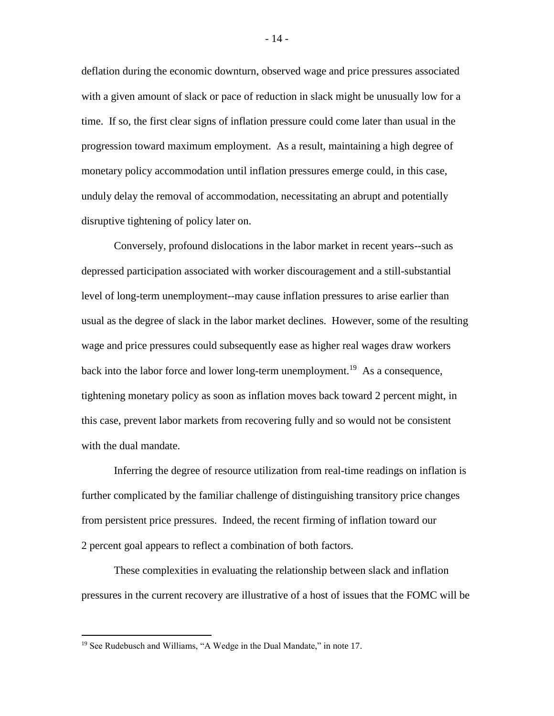deflation during the economic downturn, observed wage and price pressures associated with a given amount of slack or pace of reduction in slack might be unusually low for a time. If so, the first clear signs of inflation pressure could come later than usual in the progression toward maximum employment. As a result, maintaining a high degree of monetary policy accommodation until inflation pressures emerge could, in this case, unduly delay the removal of accommodation, necessitating an abrupt and potentially disruptive tightening of policy later on.

Conversely, profound dislocations in the labor market in recent years--such as depressed participation associated with worker discouragement and a still-substantial level of long-term unemployment--may cause inflation pressures to arise earlier than usual as the degree of slack in the labor market declines. However, some of the resulting wage and price pressures could subsequently ease as higher real wages draw workers back into the labor force and lower long-term unemployment.<sup>19</sup> As a consequence, tightening monetary policy as soon as inflation moves back toward 2 percent might, in this case, prevent labor markets from recovering fully and so would not be consistent with the dual mandate.

Inferring the degree of resource utilization from real-time readings on inflation is further complicated by the familiar challenge of distinguishing transitory price changes from persistent price pressures. Indeed, the recent firming of inflation toward our 2 percent goal appears to reflect a combination of both factors.

These complexities in evaluating the relationship between slack and inflation pressures in the current recovery are illustrative of a host of issues that the FOMC will be

<sup>&</sup>lt;sup>19</sup> See Rudebusch and Williams, "A Wedge in the Dual Mandate," in note 17.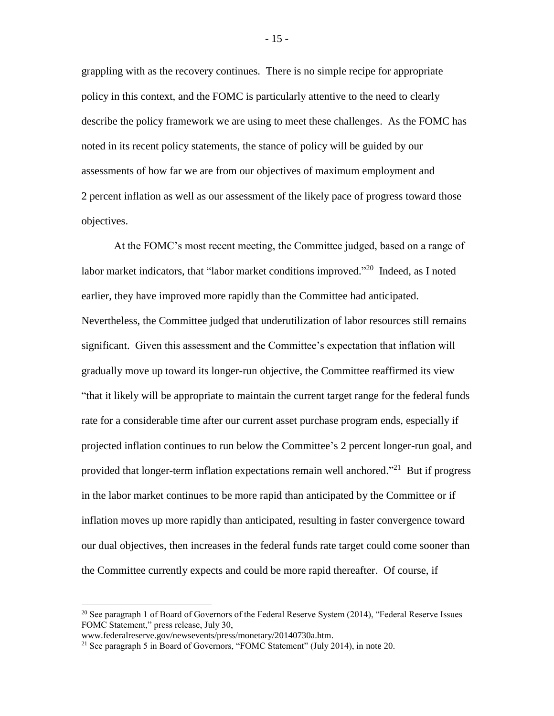grappling with as the recovery continues. There is no simple recipe for appropriate policy in this context, and the FOMC is particularly attentive to the need to clearly describe the policy framework we are using to meet these challenges. As the FOMC has noted in its recent policy statements, the stance of policy will be guided by our assessments of how far we are from our objectives of maximum employment and 2 percent inflation as well as our assessment of the likely pace of progress toward those objectives.

At the FOMC's most recent meeting, the Committee judged, based on a range of labor market indicators, that "labor market conditions improved."<sup>20</sup> Indeed, as I noted earlier, they have improved more rapidly than the Committee had anticipated. Nevertheless, the Committee judged that underutilization of labor resources still remains significant. Given this assessment and the Committee's expectation that inflation will gradually move up toward its longer-run objective, the Committee reaffirmed its view "that it likely will be appropriate to maintain the current target range for the federal funds rate for a considerable time after our current asset purchase program ends, especially if projected inflation continues to run below the Committee's 2 percent longer-run goal, and provided that longer-term inflation expectations remain well anchored. $2^{21}$  But if progress in the labor market continues to be more rapid than anticipated by the Committee or if inflation moves up more rapidly than anticipated, resulting in faster convergence toward our dual objectives, then increases in the federal funds rate target could come sooner than the Committee currently expects and could be more rapid thereafter. Of course, if

<sup>&</sup>lt;sup>20</sup> See paragraph 1 of Board of Governors of the Federal Reserve System  $(2014)$ , "Federal Reserve Issues" FOMC Statement," press release, July 30,

www.federalreserve.gov/newsevents/press/monetary/20140730a.htm.

<sup>21</sup> See paragraph 5 in Board of Governors, "FOMC Statement" (July 2014), in note 20.